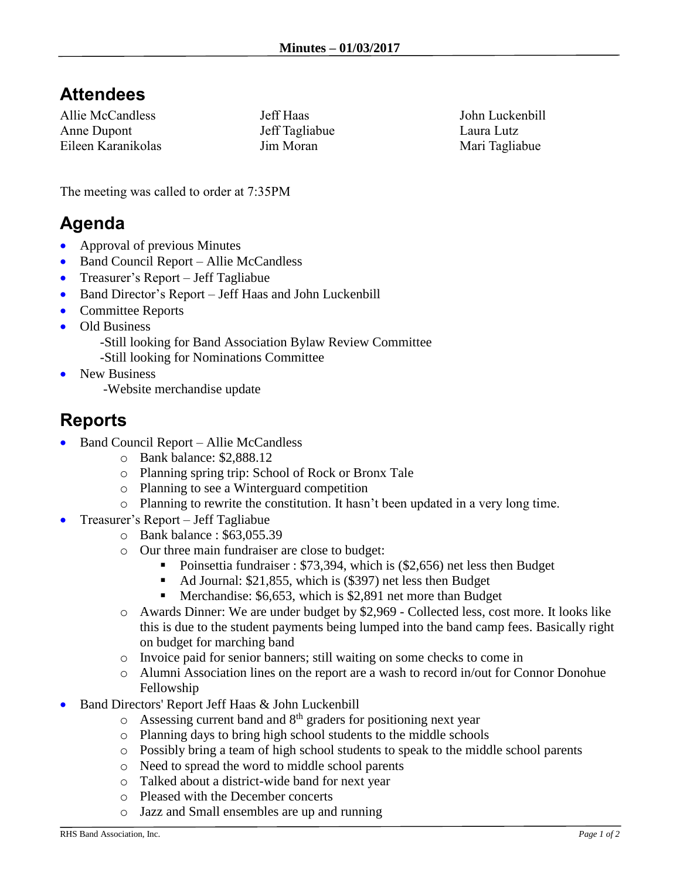# **Attendees**

Allie McCandless Anne Dupont Eileen Karanikolas Jeff Haas Jeff Tagliabue Jim Moran

John Luckenbill Laura Lutz Mari Tagliabue

The meeting was called to order at 7:35PM

### **Agenda**

- Approval of previous Minutes
- Band Council Report Allie McCandless
- Treasurer's Report Jeff Tagliabue
- Band Director's Report Jeff Haas and John Luckenbill
- Committee Reports
- Old Business
	- -Still looking for Band Association Bylaw Review Committee
	- -Still looking for Nominations Committee
- New Business
	- -Website merchandise update

# **Reports**

- Band Council Report Allie McCandless
	- o Bank balance: \$2,888.12
	- o Planning spring trip: School of Rock or Bronx Tale
	- o Planning to see a Winterguard competition
	- o Planning to rewrite the constitution. It hasn't been updated in a very long time.
- Treasurer's Report Jeff Tagliabue
	- o Bank balance : \$63,055.39
	- o Our three main fundraiser are close to budget:
		- Poinsettia fundraiser : \$73,394, which is (\$2,656) net less then Budget
		- Ad Journal: \$21,855, which is (\$397) net less then Budget
		- **Merchandise: \$6,653, which is \$2,891 net more than Budget**
	- o Awards Dinner: We are under budget by \$2,969 Collected less, cost more. It looks like this is due to the student payments being lumped into the band camp fees. Basically right on budget for marching band
	- o Invoice paid for senior banners; still waiting on some checks to come in
	- o Alumni Association lines on the report are a wash to record in/out for Connor Donohue Fellowship
- Band Directors' Report Jeff Haas & John Luckenbill
	- $\circ$  Assessing current band and  $8<sup>th</sup>$  graders for positioning next year
	- o Planning days to bring high school students to the middle schools
	- o Possibly bring a team of high school students to speak to the middle school parents
	- o Need to spread the word to middle school parents
	- o Talked about a district-wide band for next year
	- o Pleased with the December concerts
	- o Jazz and Small ensembles are up and running